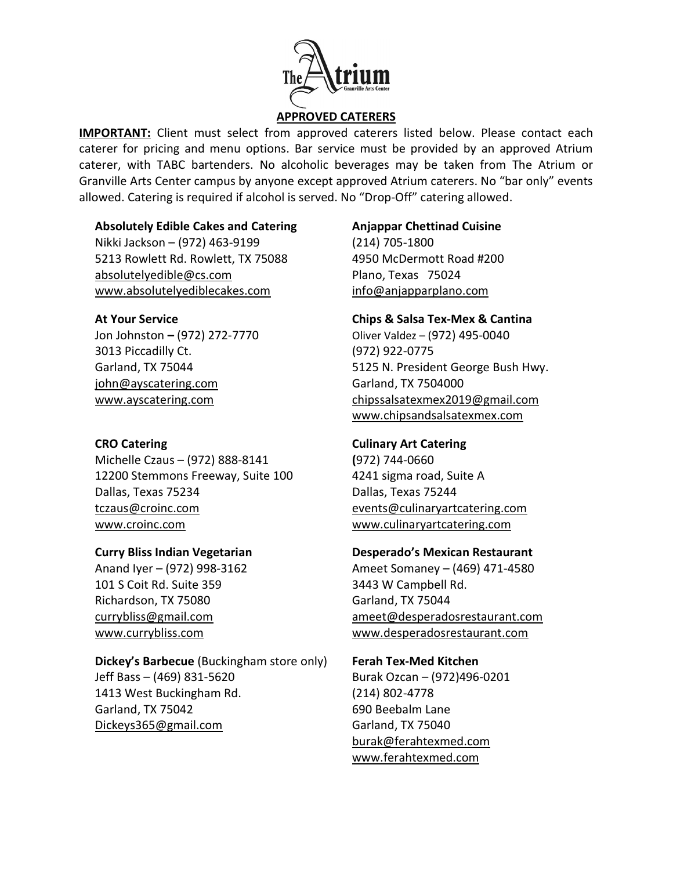

# APPROVED CATERERS

IMPORTANT: Client must select from approved caterers listed below. Please contact each caterer for pricing and menu options. Bar service must be provided by an approved Atrium caterer, with TABC bartenders. No alcoholic beverages may be taken from The Atrium or Granville Arts Center campus by anyone except approved Atrium caterers. No "bar only" events allowed. Catering is required if alcohol is served. No "Drop-Off" catering allowed.

### Absolutely Edible Cakes and Catering

Nikki Jackson – (972) 463-9199 5213 Rowlett Rd. Rowlett, TX 75088 absolutelyedible@cs.com www.absolutelyediblecakes.com

#### At Your Service

Jon Johnston – (972) 272-7770 3013 Piccadilly Ct. Garland, TX 75044 john@ayscatering.com www.ayscatering.com

### CRO Catering

Michelle Czaus – (972) 888-8141 12200 Stemmons Freeway, Suite 100 Dallas, Texas 75234 tczaus@croinc.com www.croinc.com

### Curry Bliss Indian Vegetarian

Anand Iyer – (972) 998-3162 101 S Coit Rd. Suite 359 Richardson, TX 75080 currybliss@gmail.com www.currybliss.com

Dickey's Barbecue (Buckingham store only) Jeff Bass – (469) 831-5620 1413 West Buckingham Rd. Garland, TX 75042 Dickeys365@gmail.com

#### Anjappar Chettinad Cuisine

(214) 705-1800 4950 McDermott Road #200 Plano, Texas 75024 info@anjapparplano.com

#### Chips & Salsa Tex-Mex & Cantina

Oliver Valdez – (972) 495-0040 (972) 922-0775 5125 N. President George Bush Hwy. Garland, TX 7504000 chipssalsatexmex2019@gmail.com www.chipsandsalsatexmex.com

### Culinary Art Catering

(972) 744-0660 4241 sigma road, Suite A Dallas, Texas 75244 events@culinaryartcatering.com www.culinaryartcatering.com

### Desperado's Mexican Restaurant

Ameet Somaney – (469) 471-4580 3443 W Campbell Rd. Garland, TX 75044 ameet@desperadosrestaurant.com www.desperadosrestaurant.com

### Ferah Tex-Med Kitchen

Burak Ozcan – (972)496-0201 (214) 802-4778 690 Beebalm Lane Garland, TX 75040 burak@ferahtexmed.com www.ferahtexmed.com